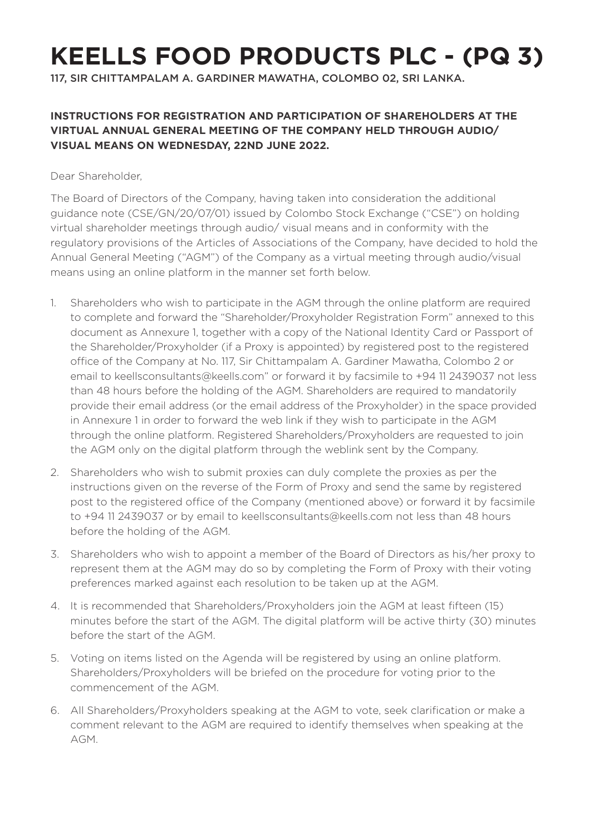## **KEELLS FOOD PRODUCTS PLC - (PQ 3)**

117, SIR CHITTAMPALAM A. GARDINER MAWATHA, COLOMBO 02, SRI LANKA.

## **INSTRUCTIONS FOR REGISTRATION AND PARTICIPATION OF SHAREHOLDERS AT THE VIRTUAL ANNUAL GENERAL MEETING OF THE COMPANY HELD THROUGH AUDIO/ VISUAL MEANS ON WEDNESDAY, 22ND JUNE 2022.**

Dear Shareholder,

The Board of Directors of the Company, having taken into consideration the additional guidance note (CSE/GN/20/07/01) issued by Colombo Stock Exchange ("CSE") on holding virtual shareholder meetings through audio/ visual means and in conformity with the regulatory provisions of the Articles of Associations of the Company, have decided to hold the Annual General Meeting ("AGM") of the Company as a virtual meeting through audio/visual means using an online platform in the manner set forth below.

- 1. Shareholders who wish to participate in the AGM through the online platform are required to complete and forward the "Shareholder/Proxyholder Registration Form" annexed to this document as Annexure 1, together with a copy of the National Identity Card or Passport of the Shareholder/Proxyholder (if a Proxy is appointed) by registered post to the registered office of the Company at No. 117, Sir Chittampalam A. Gardiner Mawatha, Colombo 2 or email to keellsconsultants@keells.com" or forward it by facsimile to +94 11 2439037 not less than 48 hours before the holding of the AGM. Shareholders are required to mandatorily provide their email address (or the email address of the Proxyholder) in the space provided in Annexure 1 in order to forward the web link if they wish to participate in the AGM through the online platform. Registered Shareholders/Proxyholders are requested to join the AGM only on the digital platform through the weblink sent by the Company.
- 2. Shareholders who wish to submit proxies can duly complete the proxies as per the instructions given on the reverse of the Form of Proxy and send the same by registered post to the registered office of the Company (mentioned above) or forward it by facsimile to +94 11 2439037 or by email to keellsconsultants@keells.com not less than 48 hours before the holding of the AGM.
- 3. Shareholders who wish to appoint a member of the Board of Directors as his/her proxy to represent them at the AGM may do so by completing the Form of Proxy with their voting preferences marked against each resolution to be taken up at the AGM.
- 4. It is recommended that Shareholders/Proxyholders join the AGM at least fifteen (15) minutes before the start of the AGM. The digital platform will be active thirty (30) minutes before the start of the AGM.
- 5. Voting on items listed on the Agenda will be registered by using an online platform. Shareholders/Proxyholders will be briefed on the procedure for voting prior to the commencement of the AGM.
- 6. All Shareholders/Proxyholders speaking at the AGM to vote, seek clarification or make a comment relevant to the AGM are required to identify themselves when speaking at the AGM.